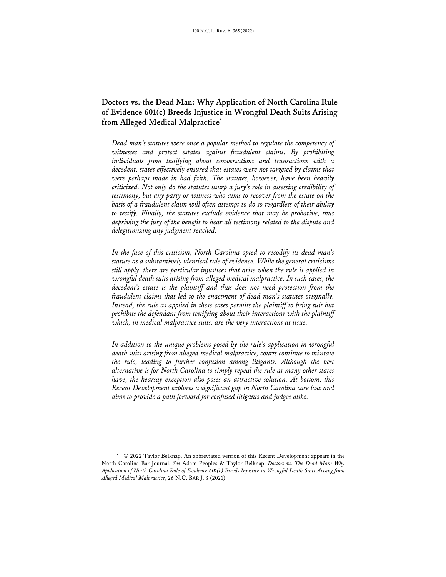# **Doctors vs. the Dead Man: Why Application of North Carolina Rule of Evidence 601(c) Breeds Injustice in Wrongful Death Suits Arising from Alleged Medical Malpractice\***

*Dead man's statutes were once a popular method to regulate the competency of witnesses and protect estates against fraudulent claims. By prohibiting individuals from testifying about conversations and transactions with a decedent, states effectively ensured that estates were not targeted by claims that were perhaps made in bad faith. The statutes, however, have been heavily criticized. Not only do the statutes usurp a jury's role in assessing credibility of testimony, but any party or witness who aims to recover from the estate on the basis of a fraudulent claim will often attempt to do so regardless of their ability to testify. Finally, the statutes exclude evidence that may be probative, thus depriving the jury of the benefit to hear all testimony related to the dispute and delegitimizing any judgment reached.*

*In the face of this criticism, North Carolina opted to recodify its dead man's statute as a substantively identical rule of evidence. While the general criticisms still apply, there are particular injustices that arise when the rule is applied in wrongful death suits arising from alleged medical malpractice. In such cases, the decedent's estate is the plaintiff and thus does not need protection from the fraudulent claims that led to the enactment of dead man's statutes originally. Instead, the rule as applied in these cases permits the plaintiff to bring suit but prohibits the defendant from testifying about their interactions with the plaintiff which, in medical malpractice suits, are the very interactions at issue.*

*In addition to the unique problems posed by the rule's application in wrongful death suits arising from alleged medical malpractice, courts continue to misstate the rule, leading to further confusion among litigants. Although the best alternative is for North Carolina to simply repeal the rule as many other states have, the hearsay exception also poses an attractive solution. At bottom, this Recent Development explores a significant gap in North Carolina case law and aims to provide a path forward for confused litigants and judges alike.*

<sup>\*</sup> © 2022 Taylor Belknap. An abbreviated version of this Recent Development appears in the North Carolina Bar Journal. *See* Adam Peoples & Taylor Belknap, *Doctors vs. The Dead Man: Why Application of North Carolina Rule of Evidence 601(c) Breeds Injustice in Wrongful Death Suits Arising from Alleged Medical Malpractice*, 26 N.C. BAR J. 3 (2021).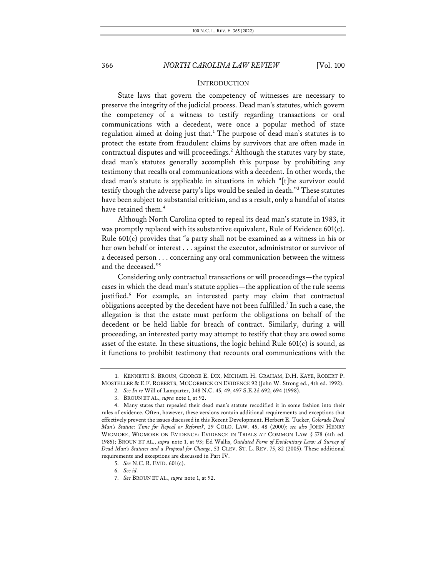### **INTRODUCTION**

State laws that govern the competency of witnesses are necessary to preserve the integrity of the judicial process. Dead man's statutes, which govern the competency of a witness to testify regarding transactions or oral communications with a decedent, were once a popular method of state regulation aimed at doing just that.<sup>1</sup> The purpose of dead man's statutes is to protect the estate from fraudulent claims by survivors that are often made in contractual disputes and will proceedings.<sup>2</sup> Although the statutes vary by state, dead man's statutes generally accomplish this purpose by prohibiting any testimony that recalls oral communications with a decedent. In other words, the dead man's statute is applicable in situations in which "[t]he survivor could testify though the adverse party's lips would be sealed in death."3 These statutes have been subject to substantial criticism, and as a result, only a handful of states have retained them.<sup>4</sup>

Although North Carolina opted to repeal its dead man's statute in 1983, it was promptly replaced with its substantive equivalent, Rule of Evidence 601(c). Rule 601(c) provides that "a party shall not be examined as a witness in his or her own behalf or interest . . . against the executor, administrator or survivor of a deceased person . . . concerning any oral communication between the witness and the deceased."5

Considering only contractual transactions or will proceedings—the typical cases in which the dead man's statute applies—the application of the rule seems justified.<sup>6</sup> For example, an interested party may claim that contractual obligations accepted by the decedent have not been fulfilled.<sup>7</sup> In such a case, the allegation is that the estate must perform the obligations on behalf of the decedent or be held liable for breach of contract. Similarly, during a will proceeding, an interested party may attempt to testify that they are owed some asset of the estate. In these situations, the logic behind Rule 601(c) is sound, as it functions to prohibit testimony that recounts oral communications with the

2. *See In re* Will of Lamparter, 348 N.C. 45, 49, 497 S.E.2d 692, 694 (1998).

<sup>1.</sup> KENNETH S. BROUN, GEORGE E. DIX, MICHAEL H. GRAHAM, D.H. KAYE, ROBERT P. MOSTELLER & E.F. ROBERTS, MCCORMICK ON EVIDENCE 92 (John W. Strong ed., 4th ed. 1992).

<sup>3.</sup> BROUN ET AL., *supra* note 1, at 92.

<sup>4.</sup> Many states that repealed their dead man's statute recodified it in some fashion into their rules of evidence. Often, however, these versions contain additional requirements and exceptions that effectively prevent the issues discussed in this Recent Development. Herbert E. Tucker, *Colorado Dead Man's Statute: Time for Repeal or Reform?*, 29 COLO. LAW. 45, 48 (2000); *see also* JOHN HENRY WIGMORE, WIGMORE ON EVIDENCE: EVIDENCE IN TRIALS AT COMMON LAW § 578 (4th ed. 1985); BROUN ET AL., *supra* note 1, at 93; Ed Wallis, *Outdated Form of Evidentiary Law: A Survey of Dead Man's Statutes and a Proposal for Change*, 53 CLEV. ST. L. REV. 75, 82 (2005). These additional requirements and exceptions are discussed in Part IV.

<sup>5.</sup> *See* N.C. R. EVID. 601(c).

<sup>6.</sup> *See id.*

<sup>7.</sup> *See* BROUN ET AL., *supra* note 1, at 92.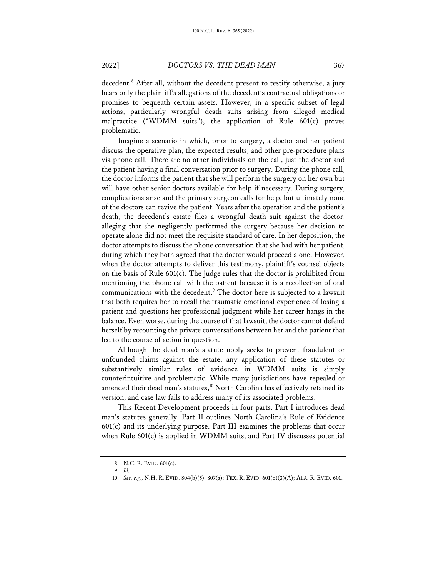decedent.<sup>8</sup> After all, without the decedent present to testify otherwise, a jury hears only the plaintiff's allegations of the decedent's contractual obligations or promises to bequeath certain assets. However, in a specific subset of legal actions, particularly wrongful death suits arising from alleged medical malpractice ("WDMM suits"), the application of Rule 601(c) proves problematic.

Imagine a scenario in which, prior to surgery, a doctor and her patient discuss the operative plan, the expected results, and other pre-procedure plans via phone call. There are no other individuals on the call, just the doctor and the patient having a final conversation prior to surgery. During the phone call, the doctor informs the patient that she will perform the surgery on her own but will have other senior doctors available for help if necessary. During surgery, complications arise and the primary surgeon calls for help, but ultimately none of the doctors can revive the patient. Years after the operation and the patient's death, the decedent's estate files a wrongful death suit against the doctor, alleging that she negligently performed the surgery because her decision to operate alone did not meet the requisite standard of care. In her deposition, the doctor attempts to discuss the phone conversation that she had with her patient, during which they both agreed that the doctor would proceed alone. However, when the doctor attempts to deliver this testimony, plaintiff's counsel objects on the basis of Rule 601(c). The judge rules that the doctor is prohibited from mentioning the phone call with the patient because it is a recollection of oral communications with the decedent.9 The doctor here is subjected to a lawsuit that both requires her to recall the traumatic emotional experience of losing a patient and questions her professional judgment while her career hangs in the balance. Even worse, during the course of that lawsuit, the doctor cannot defend herself by recounting the private conversations between her and the patient that led to the course of action in question.

Although the dead man's statute nobly seeks to prevent fraudulent or unfounded claims against the estate, any application of these statutes or substantively similar rules of evidence in WDMM suits is simply counterintuitive and problematic. While many jurisdictions have repealed or amended their dead man's statutes,<sup>10</sup> North Carolina has effectively retained its version, and case law fails to address many of its associated problems.

This Recent Development proceeds in four parts. Part I introduces dead man's statutes generally. Part II outlines North Carolina's Rule of Evidence 601(c) and its underlying purpose. Part III examines the problems that occur when Rule 601(c) is applied in WDMM suits, and Part IV discusses potential

<sup>8.</sup> N.C. R. EVID. 601(c).

<sup>9.</sup> *Id.*

<sup>10.</sup> *See, e.g.*, N.H. R. EVID. 804(b)(5), 807(a); TEX. R. EVID. 601(b)(3)(A); ALA. R. EVID. 601.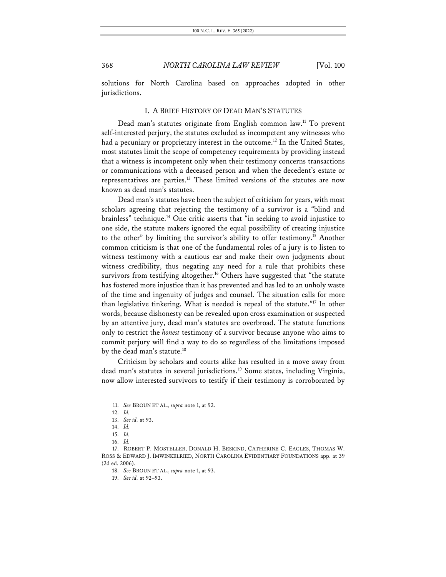solutions for North Carolina based on approaches adopted in other jurisdictions.

#### I. A BRIEF HISTORY OF DEAD MAN'S STATUTES

Dead man's statutes originate from English common law.<sup>11</sup> To prevent self-interested perjury, the statutes excluded as incompetent any witnesses who had a pecuniary or proprietary interest in the outcome.<sup>12</sup> In the United States, most statutes limit the scope of competency requirements by providing instead that a witness is incompetent only when their testimony concerns transactions or communications with a deceased person and when the decedent's estate or representatives are parties.13 These limited versions of the statutes are now known as dead man's statutes.

Dead man's statutes have been the subject of criticism for years, with most scholars agreeing that rejecting the testimony of a survivor is a "blind and brainless" technique.<sup>14</sup> One critic asserts that "in seeking to avoid injustice to one side, the statute makers ignored the equal possibility of creating injustice to the other" by limiting the survivor's ability to offer testimony.<sup>15</sup> Another common criticism is that one of the fundamental roles of a jury is to listen to witness testimony with a cautious ear and make their own judgments about witness credibility, thus negating any need for a rule that prohibits these survivors from testifying altogether.<sup>16</sup> Others have suggested that "the statute has fostered more injustice than it has prevented and has led to an unholy waste of the time and ingenuity of judges and counsel. The situation calls for more than legislative tinkering. What is needed is repeal of the statute."17 In other words, because dishonesty can be revealed upon cross examination or suspected by an attentive jury, dead man's statutes are overbroad. The statute functions only to restrict the *honest* testimony of a survivor because anyone who aims to commit perjury will find a way to do so regardless of the limitations imposed by the dead man's statute.<sup>18</sup>

Criticism by scholars and courts alike has resulted in a move away from dead man's statutes in several jurisdictions.<sup>19</sup> Some states, including Virginia, now allow interested survivors to testify if their testimony is corroborated by

<sup>11.</sup> *See* BROUN ET AL., *supra* note 1, at 92.

<sup>12.</sup> *Id.*

<sup>13.</sup> *See id.* at 93.

<sup>14.</sup> *Id.*

<sup>15.</sup> *Id.*

<sup>16.</sup> *Id.*

<sup>17.</sup> ROBERT P. MOSTELLER, DONALD H. BESKIND, CATHERINE C. EAGLES, THOMAS W. ROSS & EDWARD J. IMWINKELRIED, NORTH CAROLINA EVIDENTIARY FOUNDATIONS app. at 39 (2d ed. 2006).

<sup>18.</sup> *See* BROUN ET AL., *supra* note 1, at 93.

<sup>19.</sup> *See id.* at 92–93.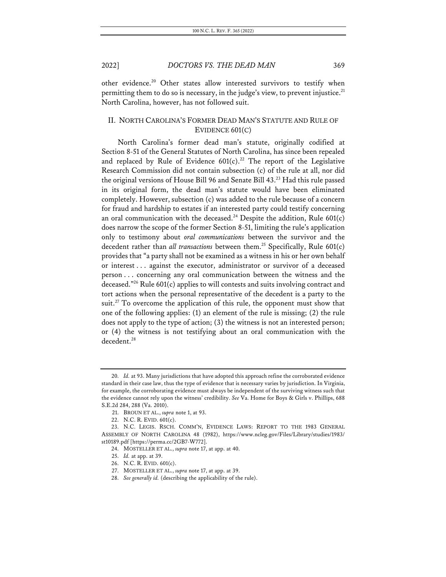other evidence.<sup>20</sup> Other states allow interested survivors to testify when permitting them to do so is necessary, in the judge's view, to prevent injustice.<sup>21</sup> North Carolina, however, has not followed suit.

### II. NORTH CAROLINA'S FORMER DEAD MAN'S STATUTE AND RULE OF EVIDENCE 601(C)

North Carolina's former dead man's statute, originally codified at Section 8-51 of the General Statutes of North Carolina, has since been repealed and replaced by Rule of Evidence  $601(c).^{22}$  The report of the Legislative Research Commission did not contain subsection (c) of the rule at all, nor did the original versions of House Bill 96 and Senate Bill 43.<sup>23</sup> Had this rule passed in its original form, the dead man's statute would have been eliminated completely. However, subsection (c) was added to the rule because of a concern for fraud and hardship to estates if an interested party could testify concerning an oral communication with the deceased.<sup>24</sup> Despite the addition, Rule  $601(c)$ does narrow the scope of the former Section 8-51, limiting the rule's application only to testimony about *oral communications* between the survivor and the decedent rather than *all transactions* between them.<sup>25</sup> Specifically, Rule 601(c) provides that "a party shall not be examined as a witness in his or her own behalf or interest . . . against the executor, administrator or survivor of a deceased person . . . concerning any oral communication between the witness and the deceased."26 Rule 601(c) applies to will contests and suits involving contract and tort actions when the personal representative of the decedent is a party to the suit.<sup>27</sup> To overcome the application of this rule, the opponent must show that one of the following applies: (1) an element of the rule is missing; (2) the rule does not apply to the type of action; (3) the witness is not an interested person; or (4) the witness is not testifying about an oral communication with the decedent.<sup>28</sup>

<sup>20.</sup> *Id.* at 93. Many jurisdictions that have adopted this approach refine the corroborated evidence standard in their case law, thus the type of evidence that is necessary varies by jurisdiction. In Virginia, for example, the corroborating evidence must always be independent of the surviving witness such that the evidence cannot rely upon the witness' credibility. *See* Va. Home for Boys & Girls v. Phillips, 688 S.E.2d 284, 288 (Va. 2010).

<sup>21.</sup> BROUN ET AL., *supra* note 1, at 93.

<sup>22.</sup> N.C. R. EVID. 601(c).

<sup>23.</sup> N.C. LEGIS. RSCH. COMM'N, EVIDENCE LAWS: REPORT TO THE 1983 GENERAL ASSEMBLY OF NORTH CAROLINA 48 (1982), https://www.ncleg.gov/Files/Library/studies/1983/ st10189.pdf [https://perma.cc/2GB7-W772].

<sup>24.</sup> MOSTELLER ET AL., *supra* note 17, at app. at 40.

<sup>25.</sup> *Id.* at app. at 39.

<sup>26.</sup> N.C. R. EVID. 601(c).

<sup>27.</sup> MOSTELLER ET AL., *supra* note 17, at app. at 39.

<sup>28.</sup> *See generally id.* (describing the applicability of the rule).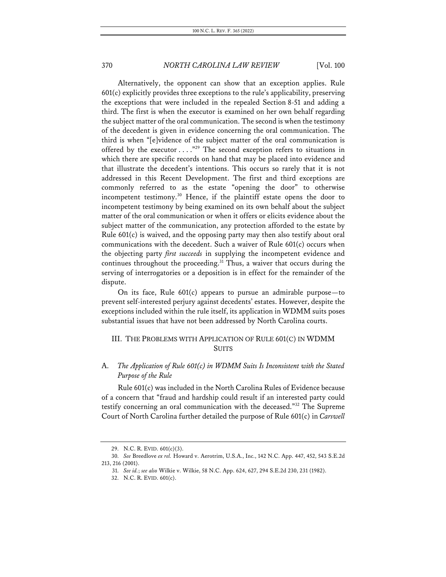Alternatively, the opponent can show that an exception applies. Rule  $601(c)$  explicitly provides three exceptions to the rule's applicability, preserving the exceptions that were included in the repealed Section 8-51 and adding a third. The first is when the executor is examined on her own behalf regarding the subject matter of the oral communication. The second is when the testimony of the decedent is given in evidence concerning the oral communication. The third is when "[e]vidence of the subject matter of the oral communication is offered by the executor  $\dots$ ."<sup>29</sup> The second exception refers to situations in which there are specific records on hand that may be placed into evidence and that illustrate the decedent's intentions. This occurs so rarely that it is not addressed in this Recent Development. The first and third exceptions are commonly referred to as the estate "opening the door" to otherwise incompetent testimony.30 Hence, if the plaintiff estate opens the door to incompetent testimony by being examined on its own behalf about the subject matter of the oral communication or when it offers or elicits evidence about the subject matter of the communication, any protection afforded to the estate by Rule 601(c) is waived, and the opposing party may then also testify about oral communications with the decedent. Such a waiver of Rule 601(c) occurs when the objecting party *first succeeds* in supplying the incompetent evidence and continues throughout the proceeding.<sup>31</sup> Thus, a waiver that occurs during the serving of interrogatories or a deposition is in effect for the remainder of the dispute.

On its face, Rule 601(c) appears to pursue an admirable purpose—to prevent self-interested perjury against decedents' estates. However, despite the exceptions included within the rule itself, its application in WDMM suits poses substantial issues that have not been addressed by North Carolina courts.

## III. THE PROBLEMS WITH APPLICATION OF RULE 601(C) IN WDMM SUITS

## A. *The Application of Rule 601(c) in WDMM Suits Is Inconsistent with the Stated Purpose of the Rule*

Rule 601(c) was included in the North Carolina Rules of Evidence because of a concern that "fraud and hardship could result if an interested party could testify concerning an oral communication with the deceased."32 The Supreme Court of North Carolina further detailed the purpose of Rule 601(c) in *Carswell* 

<sup>29.</sup> N.C. R. EVID. 601(c)(3).

<sup>30.</sup> *See* Breedlove *ex rel.* Howard v. Aerotrim, U.S.A., Inc., 142 N.C. App. 447, 452, 543 S.E.2d 213, 216 (2001).

<sup>31.</sup> *See id.*; *see also* Wilkie v. Wilkie, 58 N.C. App. 624, 627, 294 S.E.2d 230, 231 (1982).

<sup>32.</sup> N.C. R. EVID. 601(c).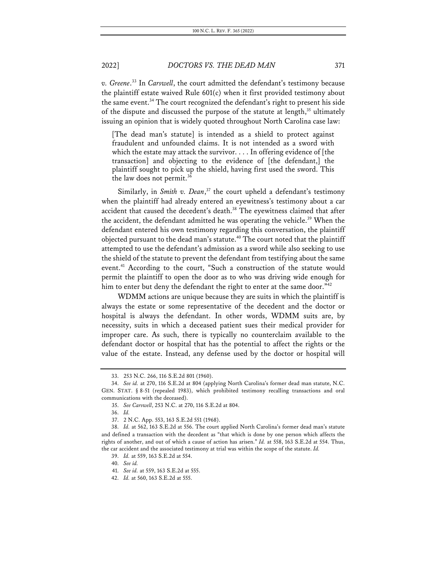*v. Greene*. <sup>33</sup> In *Carswell*, the court admitted the defendant's testimony because the plaintiff estate waived Rule 601(c) when it first provided testimony about the same event.<sup>34</sup> The court recognized the defendant's right to present his side of the dispute and discussed the purpose of the statute at length, $35$  ultimately issuing an opinion that is widely quoted throughout North Carolina case law:

[The dead man's statute] is intended as a shield to protect against fraudulent and unfounded claims. It is not intended as a sword with which the estate may attack the survivor. . . . In offering evidence of [the transaction] and objecting to the evidence of [the defendant,] the plaintiff sought to pick up the shield, having first used the sword. This the law does not permit.<sup>36</sup>

Similarly, in *Smith v. Dean*, <sup>37</sup> the court upheld a defendant's testimony when the plaintiff had already entered an eyewitness's testimony about a car accident that caused the decedent's death.<sup>38</sup> The eyewitness claimed that after the accident, the defendant admitted he was operating the vehicle.<sup>39</sup> When the defendant entered his own testimony regarding this conversation, the plaintiff objected pursuant to the dead man's statute.<sup>40</sup> The court noted that the plaintiff attempted to use the defendant's admission as a sword while also seeking to use the shield of the statute to prevent the defendant from testifying about the same event.<sup>41</sup> According to the court, "Such a construction of the statute would permit the plaintiff to open the door as to who was driving wide enough for him to enter but deny the defendant the right to enter at the same door."<sup>42</sup>

WDMM actions are unique because they are suits in which the plaintiff is always the estate or some representative of the decedent and the doctor or hospital is always the defendant. In other words, WDMM suits are, by necessity, suits in which a deceased patient sues their medical provider for improper care. As such, there is typically no counterclaim available to the defendant doctor or hospital that has the potential to affect the rights or the value of the estate. Instead, any defense used by the doctor or hospital will

<sup>33.</sup> 253 N.C. 266, 116 S.E.2d 801 (1960).

<sup>34.</sup> *See id.* at 270, 116 S.E.2d at 804 (applying North Carolina's former dead man statute, N.C. GEN. STAT. § 8-51 (repealed 1983), which prohibited testimony recalling transactions and oral communications with the deceased).

<sup>35.</sup> *See Carswell*, 253 N.C. at 270, 116 S.E.2d at 804.

<sup>36.</sup> *Id.*

<sup>37.</sup> 2 N.C. App. 553, 163 S.E.2d 551 (1968).

<sup>38.</sup> *Id.* at 562, 163 S.E.2d at 556. The court applied North Carolina's former dead man's statute and defined a transaction with the decedent as "that which is done by one person which affects the rights of another, and out of which a cause of action has arisen." *Id.* at 558, 163 S.E.2d at 554. Thus, the car accident and the associated testimony at trial was within the scope of the statute. *Id.*

<sup>39.</sup> *Id.* at 559, 163 S.E.2d at 554.

<sup>40.</sup> *See id.*

<sup>41.</sup> *See id.* at 559, 163 S.E.2d at 555.

<sup>42.</sup> *Id.* at 560, 163 S.E.2d at 555.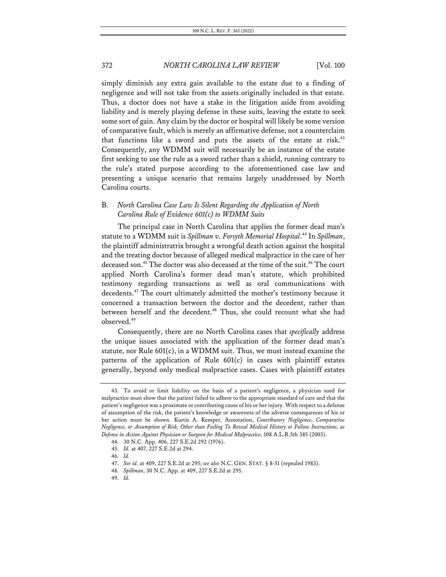simply diminish any extra gain available to the estate due to a finding of negligence and will not take from the assets originally included in that estate. Thus, a doctor does not have a stake in the litigation aside from avoiding liability and is merely playing defense in these suits, leaving the estate to seek some sort of gain. Any claim by the doctor or hospital will likely be some version of comparative fault, which is merely an affirmative defense, not a counterclaim that functions like a sword and puts the assets of the estate at risk.<sup>43</sup> Consequently, any WDMM suit will necessarily be an instance of the estate first seeking to use the rule as a sword rather than a shield, running contrary to the rule's stated purpose according to the aforementioned case law and presenting a unique scenario that remains largely unaddressed by North Carolina courts.

## B. *North Carolina Case Law Is Silent Regarding the Application of North Carolina Rule of Evidence 601(c) to WDMM Suits*

The principal case in North Carolina that applies the former dead man's statute to a WDMM suit is *Spillman v. Forsyth Memorial Hospital*. <sup>44</sup> In *Spillman*, the plaintiff administratrix brought a wrongful death action against the hospital and the treating doctor because of alleged medical malpractice in the care of her deceased son.<sup>45</sup> The doctor was also deceased at the time of the suit.<sup>46</sup> The court applied North Carolina's former dead man's statute, which prohibited testimony regarding transactions as well as oral communications with decedents.47 The court ultimately admitted the mother's testimony because it concerned a transaction between the doctor and the decedent, rather than between herself and the decedent.<sup>48</sup> Thus, she could recount what she had observed.49

Consequently, there are no North Carolina cases that *specifically* address the unique issues associated with the application of the former dead man's statute, nor Rule 601(c), in a WDMM suit. Thus, we must instead examine the patterns of the application of Rule 601(c) in cases with plaintiff estates generally, beyond only medical malpractice cases. Cases with plaintiff estates

49. *Id.*

<sup>43.</sup> To avoid or limit liability on the basis of a patient's negligence, a physician sued for malpractice must show that the patient failed to adhere to the appropriate standard of care and that the patient's negligence was a proximate or contributing cause of his or her injury. With respect to a defense of assumption of the risk, the patient's knowledge or awareness of the adverse consequences of his or her action must be shown. Kurtis A. Kemper, Annotation, *Contributory Negligence, Comparative Negligence, or Assumption of Risk, Other than Failing To Reveal Medical History or Follow Instructions, as Defense in Action Against Physician or Surgeon for Medical Malpractice*, 108 A.L.R.5th 385 (2003).

<sup>44.</sup> 30 N.C. App. 406, 227 S.E.2d 292 (1976).

<sup>45.</sup> *Id.* at 407, 227 S.E.2d at 294.

<sup>46.</sup> *Id.*

<sup>47.</sup> *See id.* at 409, 227 S.E.2d at 295; *see also* N.C. GEN. STAT. § 8-51 (repealed 1983).

<sup>48.</sup> *Spillman*, 30 N.C. App. at 409, 227 S.E.2d at 295.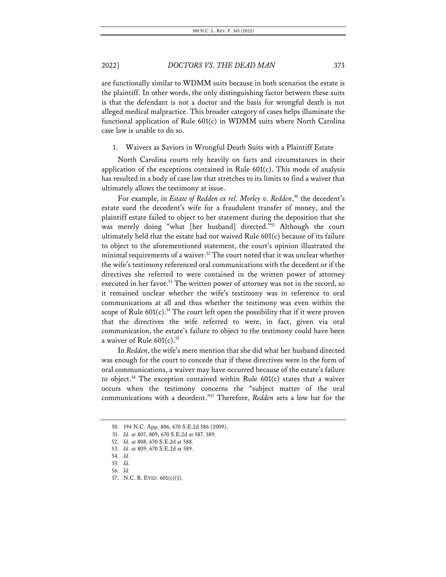are functionally similar to WDMM suits because in both scenarios the estate is the plaintiff. In other words, the only distinguishing factor between these suits is that the defendant is not a doctor and the basis for wrongful death is not alleged medical malpractice. This broader category of cases helps illuminate the functional application of Rule 601(c) in WDMM suits where North Carolina case law is unable to do so.

1. Waivers as Saviors in Wrongful Death Suits with a Plaintiff Estate

North Carolina courts rely heavily on facts and circumstances in their application of the exceptions contained in Rule  $601(c)$ . This mode of analysis has resulted in a body of case law that stretches to its limits to find a waiver that ultimately allows the testimony at issue.

For example, in *Estate of Redden ex rel. Morley v. Redden*, <sup>50</sup> the decedent's estate sued the decedent's wife for a fraudulent transfer of money, and the plaintiff estate failed to object to her statement during the deposition that she was merely doing "what [her husband] directed."51 Although the court ultimately held that the estate had not waived Rule 601(c) because of its failure to object to the aforementioned statement, the court's opinion illustrated the minimal requirements of a waiver.<sup>52</sup> The court noted that it was unclear whether the wife's testimony referenced oral communications with the decedent or if the directives she referred to were contained in the written power of attorney executed in her favor.<sup>53</sup> The written power of attorney was not in the record, so it remained unclear whether the wife's testimony was in reference to oral communications at all and thus whether the testimony was even within the scope of Rule  $601(c)$ .<sup>54</sup> The court left open the possibility that if it were proven that the directives the wife referred to were, in fact, given via oral communication, the estate's failure to object to the testimony could have been a waiver of Rule  $601(c)$ .<sup>55</sup>

In *Redden*, the wife's mere mention that she did what her husband directed was enough for the court to concede that if these directives were in the form of oral communications, a waiver may have occurred because of the estate's failure to object.<sup>56</sup> The exception contained within Rule  $601(c)$  states that a waiver occurs when the testimony concerns the "subject matter of the oral communications with a decedent."57 Therefore, *Redden* sets a low bar for the

<sup>50.</sup> 194 N.C. App. 806, 670 S.E.2d 586 (2009).

<sup>51.</sup> *Id.* at 807, 809, 670 S.E.2d at 587, 589.

<sup>52.</sup> *Id.* at 808, 670 S.E.2d at 588.

<sup>53.</sup> *Id.* at 809, 670 S.E.2d at 589.

<sup>54.</sup> *Id.*

<sup>55.</sup> *Id.*

<sup>56.</sup> *Id.*

<sup>57.</sup> N.C. R. EVID. 601(c)(1).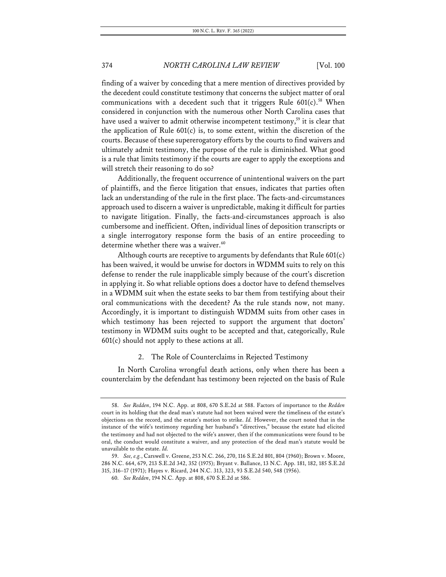finding of a waiver by conceding that a mere mention of directives provided by the decedent could constitute testimony that concerns the subject matter of oral communications with a decedent such that it triggers Rule  $601(c)$ .<sup>58</sup> When considered in conjunction with the numerous other North Carolina cases that have used a waiver to admit otherwise incompetent testimony,<sup>59</sup> it is clear that the application of Rule 601(c) is, to some extent, within the discretion of the courts. Because of these supererogatory efforts by the courts to find waivers and ultimately admit testimony, the purpose of the rule is diminished. What good is a rule that limits testimony if the courts are eager to apply the exceptions and will stretch their reasoning to do so?

Additionally, the frequent occurrence of unintentional waivers on the part of plaintiffs, and the fierce litigation that ensues, indicates that parties often lack an understanding of the rule in the first place. The facts-and-circumstances approach used to discern a waiver is unpredictable, making it difficult for parties to navigate litigation. Finally, the facts-and-circumstances approach is also cumbersome and inefficient. Often, individual lines of deposition transcripts or a single interrogatory response form the basis of an entire proceeding to determine whether there was a waiver.<sup>60</sup>

Although courts are receptive to arguments by defendants that Rule 601(c) has been waived, it would be unwise for doctors in WDMM suits to rely on this defense to render the rule inapplicable simply because of the court's discretion in applying it. So what reliable options does a doctor have to defend themselves in a WDMM suit when the estate seeks to bar them from testifying about their oral communications with the decedent? As the rule stands now, not many. Accordingly, it is important to distinguish WDMM suits from other cases in which testimony has been rejected to support the argument that doctors' testimony in WDMM suits ought to be accepted and that, categorically, Rule 601(c) should not apply to these actions at all.

#### 2. The Role of Counterclaims in Rejected Testimony

In North Carolina wrongful death actions, only when there has been a counterclaim by the defendant has testimony been rejected on the basis of Rule

<sup>58.</sup> *See Redden*, 194 N.C. App. at 808, 670 S.E.2d at 588. Factors of importance to the *Redden* court in its holding that the dead man's statute had not been waived were the timeliness of the estate's objections on the record, and the estate's motion to strike. *Id.* However, the court noted that in the instance of the wife's testimony regarding her husband's "directives," because the estate had elicited the testimony and had not objected to the wife's answer, then if the communications were found to be oral, the conduct would constitute a waiver, and any protection of the dead man's statute would be unavailable to the estate. *Id.*

<sup>59.</sup> *See, e.g.*, Carswell v. Greene, 253 N.C. 266, 270, 116 S.E.2d 801, 804 (1960); Brown v. Moore, 286 N.C. 664, 679, 213 S.E.2d 342, 352 (1975); Bryant v. Ballance, 13 N.C. App. 181, 182, 185 S.E.2d 315, 316–17 (1971); Hayes v. Ricard, 244 N.C. 313, 323, 93 S.E.2d 540, 548 (1956).

<sup>60.</sup> *See Redden*, 194 N.C. App. at 808, 670 S.E.2d at 586.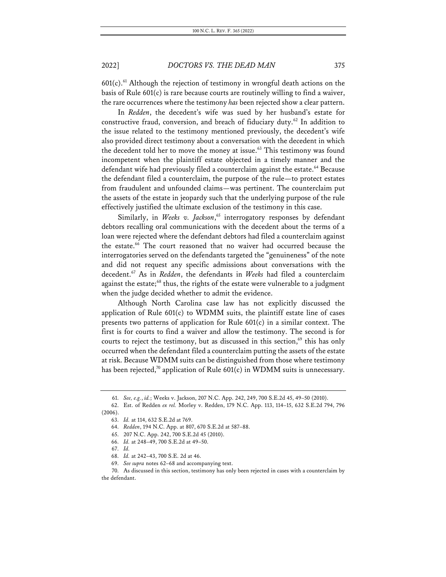$601(c)$ .<sup>61</sup> Although the rejection of testimony in wrongful death actions on the basis of Rule 601(c) is rare because courts are routinely willing to find a waiver, the rare occurrences where the testimony *has* been rejected show a clear pattern.

In *Redden*, the decedent's wife was sued by her husband's estate for constructive fraud, conversion, and breach of fiduciary duty.<sup>62</sup> In addition to the issue related to the testimony mentioned previously, the decedent's wife also provided direct testimony about a conversation with the decedent in which the decedent told her to move the money at issue.<sup>63</sup> This testimony was found incompetent when the plaintiff estate objected in a timely manner and the defendant wife had previously filed a counterclaim against the estate.<sup>64</sup> Because the defendant filed a counterclaim, the purpose of the rule—to protect estates from fraudulent and unfounded claims—was pertinent. The counterclaim put the assets of the estate in jeopardy such that the underlying purpose of the rule effectively justified the ultimate exclusion of the testimony in this case.

Similarly, in Weeks v. Jackson,<sup>65</sup> interrogatory responses by defendant debtors recalling oral communications with the decedent about the terms of a loan were rejected where the defendant debtors had filed a counterclaim against the estate.<sup>66</sup> The court reasoned that no waiver had occurred because the interrogatories served on the defendants targeted the "genuineness" of the note and did not request any specific admissions about conversations with the decedent.67 As in *Redden*, the defendants in *Weeks* had filed a counterclaim against the estate;<sup>68</sup> thus, the rights of the estate were vulnerable to a judgment when the judge decided whether to admit the evidence.

Although North Carolina case law has not explicitly discussed the application of Rule 601(c) to WDMM suits, the plaintiff estate line of cases presents two patterns of application for Rule 601(c) in a similar context. The first is for courts to find a waiver and allow the testimony. The second is for courts to reject the testimony, but as discussed in this section,<sup>69</sup> this has only occurred when the defendant filed a counterclaim putting the assets of the estate at risk. Because WDMM suits can be distinguished from those where testimony has been rejected,<sup>70</sup> application of Rule  $601(c)$  in WDMM suits is unnecessary.

<sup>61.</sup> *See, e.g.*, *id.*; Weeks v. Jackson, 207 N.C. App. 242, 249, 700 S.E.2d 45, 49–50 (2010).

<sup>62.</sup> Est. of Redden *ex rel.* Morley v. Redden, 179 N.C. App. 113, 114–15, 632 S.E.2d 794, 796 (2006).

<sup>63.</sup> *Id.* at 114, 632 S.E.2d at 769.

<sup>64.</sup> *Redden*, 194 N.C. App. at 807, 670 S.E.2d at 587–88.

<sup>65.</sup> 207 N.C. App. 242, 700 S.E.2d 45 (2010).

<sup>66.</sup> *Id.* at 248–49, 700 S.E.2d at 49–50.

<sup>67.</sup> *Id.*

<sup>68.</sup> *Id.* at 242–43, 700 S.E. 2d at 46.

<sup>69.</sup> *See supra* notes 62–68 and accompanying text.

<sup>70.</sup> As discussed in this section, testimony has only been rejected in cases with a counterclaim by the defendant.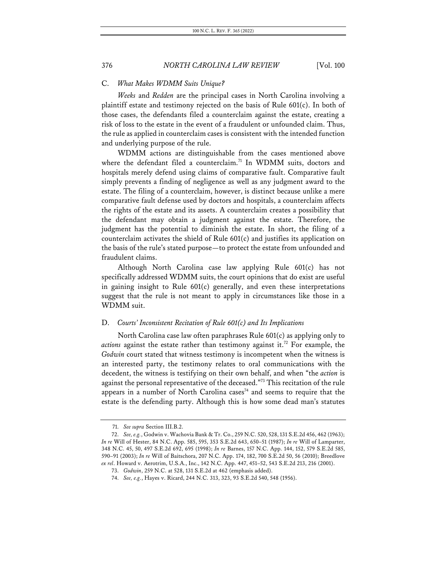### C. *What Makes WDMM Suits Unique?*

*Weeks* and *Redden* are the principal cases in North Carolina involving a plaintiff estate and testimony rejected on the basis of Rule 601(c). In both of those cases, the defendants filed a counterclaim against the estate, creating a risk of loss to the estate in the event of a fraudulent or unfounded claim. Thus, the rule as applied in counterclaim cases is consistent with the intended function and underlying purpose of the rule.

WDMM actions are distinguishable from the cases mentioned above where the defendant filed a counterclaim.<sup>71</sup> In WDMM suits, doctors and hospitals merely defend using claims of comparative fault. Comparative fault simply prevents a finding of negligence as well as any judgment award to the estate. The filing of a counterclaim, however, is distinct because unlike a mere comparative fault defense used by doctors and hospitals, a counterclaim affects the rights of the estate and its assets. A counterclaim creates a possibility that the defendant may obtain a judgment against the estate. Therefore, the judgment has the potential to diminish the estate. In short, the filing of a counterclaim activates the shield of Rule 601(c) and justifies its application on the basis of the rule's stated purpose—to protect the estate from unfounded and fraudulent claims.

Although North Carolina case law applying Rule 601(c) has not specifically addressed WDMM suits, the court opinions that do exist are useful in gaining insight to Rule  $601(c)$  generally, and even these interpretations suggest that the rule is not meant to apply in circumstances like those in a WDMM suit.

### D. *Courts' Inconsistent Recitation of Rule 601(c) and Its Implications*

North Carolina case law often paraphrases Rule 601(c) as applying only to *actions* against the estate rather than testimony against it.<sup>72</sup> For example, the *Godwin* court stated that witness testimony is incompetent when the witness is an interested party, the testimony relates to oral communications with the decedent, the witness is testifying on their own behalf, and when "the *action* is against the personal representative of the deceased."73 This recitation of the rule appears in a number of North Carolina cases<sup>74</sup> and seems to require that the estate is the defending party. Although this is how some dead man's statutes

<sup>71.</sup> *See supra* Section III.B.2.

<sup>72.</sup> *See, e.g.*, Godwin v. Wachovia Bank & Tr. Co., 259 N.C. 520, 528, 131 S.E.2d 456, 462 (1963); *In re* Will of Hester, 84 N.C. App. 585, 595, 353 S.E.2d 643, 650–51 (1987); *In re* Will of Lamparter, 348 N.C. 45, 50, 497 S.E.2d 692, 695 (1998); *In re* Barnes, 157 N.C. App. 144, 152, 579 S.E.2d 585, 590–91 (2003); *In re* Will of Baitschora, 207 N.C. App. 174, 182, 700 S.E.2d 50, 56 (2010); Breedlove *ex rel*. Howard v. Aerotrim, U.S.A., Inc., 142 N.C. App. 447, 451–52, 543 S.E.2d 213, 216 (2001).

<sup>73.</sup> *Godwin*, 259 N.C. at 528, 131 S.E.2d at 462 (emphasis added).

<sup>74.</sup> *See, e.g.*, Hayes v. Ricard, 244 N.C. 313, 323, 93 S.E.2d 540, 548 (1956).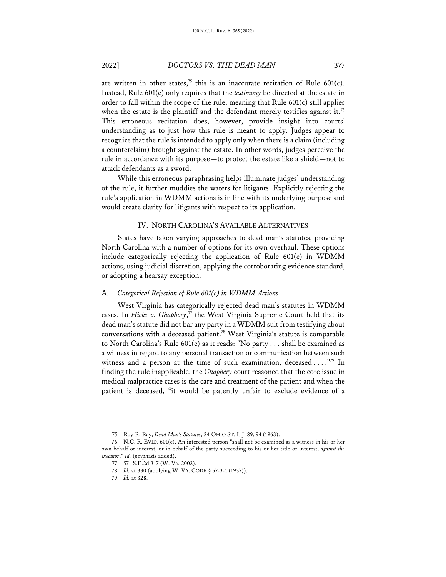are written in other states,<sup>75</sup> this is an inaccurate recitation of Rule 601(c). Instead, Rule 601(c) only requires that the *testimony* be directed at the estate in order to fall within the scope of the rule, meaning that Rule 601(c) still applies when the estate is the plaintiff and the defendant merely testifies against it.<sup>76</sup> This erroneous recitation does, however, provide insight into courts' understanding as to just how this rule is meant to apply. Judges appear to recognize that the rule is intended to apply only when there is a claim (including a counterclaim) brought against the estate. In other words, judges perceive the rule in accordance with its purpose—to protect the estate like a shield—not to attack defendants as a sword.

While this erroneous paraphrasing helps illuminate judges' understanding of the rule, it further muddies the waters for litigants. Explicitly rejecting the rule's application in WDMM actions is in line with its underlying purpose and would create clarity for litigants with respect to its application.

#### IV. NORTH CAROLINA'S AVAILABLE ALTERNATIVES

States have taken varying approaches to dead man's statutes, providing North Carolina with a number of options for its own overhaul. These options include categorically rejecting the application of Rule 601(c) in WDMM actions, using judicial discretion, applying the corroborating evidence standard, or adopting a hearsay exception.

#### A. *Categorical Rejection of Rule 601(c) in WDMM Actions*

West Virginia has categorically rejected dead man's statutes in WDMM cases. In *Hicks v. Ghaphery*,<sup> $77$ </sup> the West Virginia Supreme Court held that its dead man's statute did not bar any party in a WDMM suit from testifying about conversations with a deceased patient.<sup>78</sup> West Virginia's statute is comparable to North Carolina's Rule 601(c) as it reads: "No party . . . shall be examined as a witness in regard to any personal transaction or communication between such witness and a person at the time of such examination, deceased . . . . "79 In finding the rule inapplicable, the *Ghaphery* court reasoned that the core issue in medical malpractice cases is the care and treatment of the patient and when the patient is deceased, "it would be patently unfair to exclude evidence of a

<sup>75.</sup> Roy R. Ray, *Dead Man's Statutes*, 24 OHIO ST. L.J. 89, 94 (1963).

<sup>76.</sup> N.C. R. EVID. 601(c). An interested person "shall not be examined as a witness in his or her own behalf or interest, or in behalf of the party succeeding to his or her title or interest, *against the executor*." *Id.* (emphasis added).

<sup>77.</sup> 571 S.E.2d 317 (W. Va. 2002).

<sup>78.</sup> *Id.* at 330 (applying W. VA. CODE § 57-3-1 (1937)).

<sup>79.</sup> *Id.* at 328.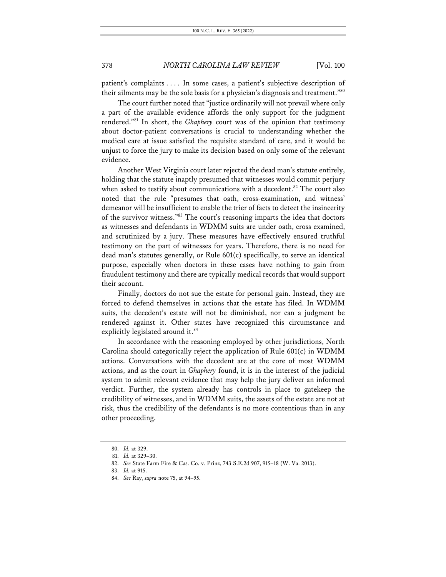patient's complaints . . . . In some cases, a patient's subjective description of their ailments may be the sole basis for a physician's diagnosis and treatment."80

The court further noted that "justice ordinarily will not prevail where only a part of the available evidence affords the only support for the judgment rendered."81 In short, the *Ghaphery* court was of the opinion that testimony about doctor-patient conversations is crucial to understanding whether the medical care at issue satisfied the requisite standard of care, and it would be unjust to force the jury to make its decision based on only some of the relevant evidence.

Another West Virginia court later rejected the dead man's statute entirely, holding that the statute inaptly presumed that witnesses would commit perjury when asked to testify about communications with a decedent.<sup>82</sup> The court also noted that the rule "presumes that oath, cross-examination, and witness' demeanor will be insufficient to enable the trier of facts to detect the insincerity of the survivor witness."83 The court's reasoning imparts the idea that doctors as witnesses and defendants in WDMM suits are under oath, cross examined, and scrutinized by a jury. These measures have effectively ensured truthful testimony on the part of witnesses for years. Therefore, there is no need for dead man's statutes generally, or Rule 601(c) specifically, to serve an identical purpose, especially when doctors in these cases have nothing to gain from fraudulent testimony and there are typically medical records that would support their account.

Finally, doctors do not sue the estate for personal gain. Instead, they are forced to defend themselves in actions that the estate has filed. In WDMM suits, the decedent's estate will not be diminished, nor can a judgment be rendered against it. Other states have recognized this circumstance and explicitly legislated around it.<sup>84</sup>

In accordance with the reasoning employed by other jurisdictions, North Carolina should categorically reject the application of Rule 601(c) in WDMM actions. Conversations with the decedent are at the core of most WDMM actions, and as the court in *Ghaphery* found, it is in the interest of the judicial system to admit relevant evidence that may help the jury deliver an informed verdict. Further, the system already has controls in place to gatekeep the credibility of witnesses, and in WDMM suits, the assets of the estate are not at risk, thus the credibility of the defendants is no more contentious than in any other proceeding.

<sup>80.</sup> *Id.* at 329.

<sup>81.</sup> *Id.* at 329–30.

<sup>82.</sup> *See* State Farm Fire & Cas. Co. v. Prinz, 743 S.E.2d 907, 915–18 (W. Va. 2013).

<sup>83.</sup> *Id.* at 915.

<sup>84.</sup> *See* Ray, *supra* note 75, at 94–95.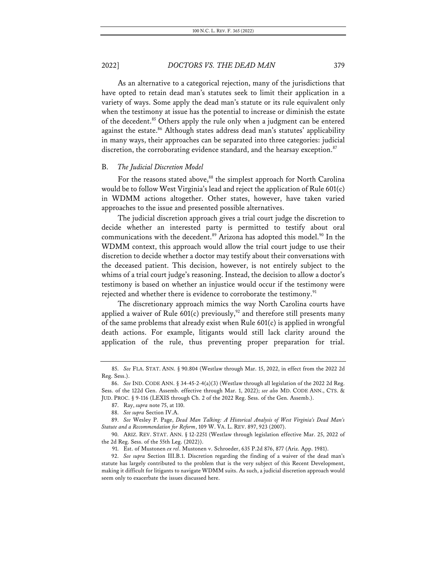As an alternative to a categorical rejection, many of the jurisdictions that have opted to retain dead man's statutes seek to limit their application in a variety of ways. Some apply the dead man's statute or its rule equivalent only when the testimony at issue has the potential to increase or diminish the estate of the decedent.<sup>85</sup> Others apply the rule only when a judgment can be entered against the estate.<sup>86</sup> Although states address dead man's statutes' applicability in many ways, their approaches can be separated into three categories: judicial discretion, the corroborating evidence standard, and the hearsay exception.<sup>87</sup>

#### B. *The Judicial Discretion Model*

For the reasons stated above,<sup>88</sup> the simplest approach for North Carolina would be to follow West Virginia's lead and reject the application of Rule 601(c) in WDMM actions altogether. Other states, however, have taken varied approaches to the issue and presented possible alternatives.

The judicial discretion approach gives a trial court judge the discretion to decide whether an interested party is permitted to testify about oral communications with the decedent.<sup>89</sup> Arizona has adopted this model.<sup>90</sup> In the WDMM context, this approach would allow the trial court judge to use their discretion to decide whether a doctor may testify about their conversations with the deceased patient. This decision, however, is not entirely subject to the whims of a trial court judge's reasoning. Instead, the decision to allow a doctor's testimony is based on whether an injustice would occur if the testimony were rejected and whether there is evidence to corroborate the testimony.<sup>91</sup>

The discretionary approach mimics the way North Carolina courts have applied a waiver of Rule  $601(c)$  previously,<sup>92</sup> and therefore still presents many of the same problems that already exist when Rule 601(c) is applied in wrongful death actions. For example, litigants would still lack clarity around the application of the rule, thus preventing proper preparation for trial.

<sup>85.</sup> *See* FLA. STAT. ANN. § 90.804 (Westlaw through Mar. 15, 2022, in effect from the 2022 2d Reg. Sess.).

<sup>86.</sup> *See* IND. CODE ANN. § 34-45-2-4(a)(3) (Westlaw through all legislation of the 2022 2d Reg. Sess. of the 122d Gen. Assemb. effective through Mar. 1, 2022); *see also* MD. CODE ANN., CTS. & JUD. PROC. § 9-116 (LEXIS through Ch. 2 of the 2022 Reg. Sess. of the Gen. Assemb.).

<sup>87.</sup> Ray, *supra* note 75, at 110.

<sup>88.</sup> *See supra* Section IV.A.

<sup>89.</sup> *See* Wesley P. Page, *Dead Man Talking: A Historical Analysis of West Virginia's Dead Man's Statute and a Recommendation for Reform*, 109 W. VA. L. REV. 897, 923 (2007).

<sup>90.</sup> ARIZ. REV. STAT. ANN. § 12-2251 (Westlaw through legislation effective Mar. 25, 2022 of the 2d Reg. Sess. of the 55th Leg. (2022)).

<sup>91.</sup> Est. of Mustonen *ex rel*. Mustonen v. Schroeder, 635 P.2d 876, 877 (Ariz. App. 1981).

<sup>92.</sup> *See supra* Section III.B.1. Discretion regarding the finding of a waiver of the dead man's statute has largely contributed to the problem that is the very subject of this Recent Development, making it difficult for litigants to navigate WDMM suits. As such, a judicial discretion approach would seem only to exacerbate the issues discussed here.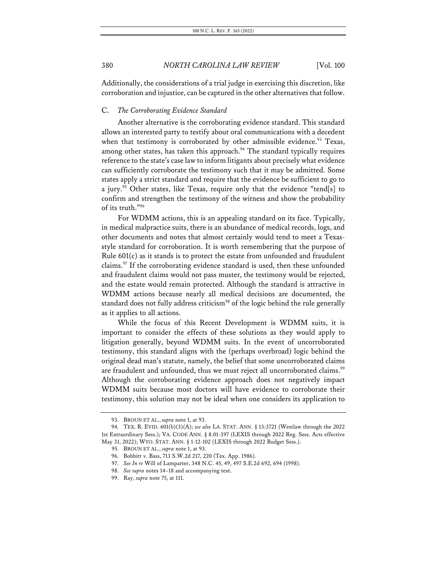Additionally, the considerations of a trial judge in exercising this discretion, like corroboration and injustice, can be captured in the other alternatives that follow.

### C. *The Corroborating Evidence Standard*

Another alternative is the corroborating evidence standard. This standard allows an interested party to testify about oral communications with a decedent when that testimony is corroborated by other admissible evidence.<sup>93</sup> Texas, among other states, has taken this approach. $94$  The standard typically requires reference to the state's case law to inform litigants about precisely what evidence can sufficiently corroborate the testimony such that it may be admitted. Some states apply a strict standard and require that the evidence be sufficient to go to a jury.<sup>95</sup> Other states, like Texas, require only that the evidence "tend[s] to confirm and strengthen the testimony of the witness and show the probability of its truth."96

For WDMM actions, this is an appealing standard on its face. Typically, in medical malpractice suits, there is an abundance of medical records, logs, and other documents and notes that almost certainly would tend to meet a Texasstyle standard for corroboration. It is worth remembering that the purpose of Rule 601(c) as it stands is to protect the estate from unfounded and fraudulent claims.97 If the corroborating evidence standard is used, then these unfounded and fraudulent claims would not pass muster, the testimony would be rejected, and the estate would remain protected. Although the standard is attractive in WDMM actions because nearly all medical decisions are documented, the standard does not fully address criticism<sup>98</sup> of the logic behind the rule generally as it applies to all actions.

While the focus of this Recent Development is WDMM suits, it is important to consider the effects of these solutions as they would apply to litigation generally, beyond WDMM suits. In the event of uncorroborated testimony, this standard aligns with the (perhaps overbroad) logic behind the original dead man's statute, namely, the belief that some uncorroborated claims are fraudulent and unfounded, thus we must reject all uncorroborated claims.<sup>99</sup> Although the corroborating evidence approach does not negatively impact WDMM suits because most doctors will have evidence to corroborate their testimony, this solution may not be ideal when one considers its application to

<sup>93.</sup> BROUN ET AL., *supra* note 1, at 93.

<sup>94.</sup> TEX. R. EVID. 601(b)(3)(A); *see also* LA. STAT. ANN. § 13:3721 (Westlaw through the 2022 1st Extraordinary Sess.); VA. CODE ANN. § 8.01-397 (LEXIS through 2022 Reg. Sess. Acts effective May 31, 2022); WYO. STAT. ANN. § 1-12-102 (LEXIS through 2022 Budget Sess.).

<sup>95.</sup> BROUN ET AL., *supra* note 1, at 93.

<sup>96.</sup> Bobbitt v. Bass, 713 S.W.2d 217, 220 (Tex. App. 1986).

<sup>97.</sup> *See In re* Will of Lamparter, 348 N.C. 45, 49, 497 S.E.2d 692, 694 (1998).

<sup>98.</sup> *See supra* notes 14–18 and accompanying text.

<sup>99.</sup> Ray, *supra* note 75, at 111.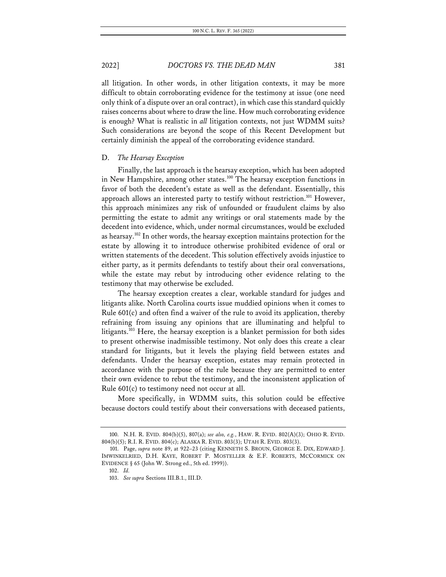all litigation. In other words, in other litigation contexts, it may be more difficult to obtain corroborating evidence for the testimony at issue (one need only think of a dispute over an oral contract), in which case this standard quickly raises concerns about where to draw the line. How much corroborating evidence is enough? What is realistic in *all* litigation contexts, not just WDMM suits? Such considerations are beyond the scope of this Recent Development but certainly diminish the appeal of the corroborating evidence standard.

#### D. *The Hearsay Exception*

Finally, the last approach is the hearsay exception, which has been adopted in New Hampshire, among other states.<sup>100</sup> The hearsay exception functions in favor of both the decedent's estate as well as the defendant. Essentially, this approach allows an interested party to testify without restriction.<sup>101</sup> However, this approach minimizes any risk of unfounded or fraudulent claims by also permitting the estate to admit any writings or oral statements made by the decedent into evidence, which, under normal circumstances, would be excluded as hearsay.102 In other words, the hearsay exception maintains protection for the estate by allowing it to introduce otherwise prohibited evidence of oral or written statements of the decedent. This solution effectively avoids injustice to either party, as it permits defendants to testify about their oral conversations, while the estate may rebut by introducing other evidence relating to the testimony that may otherwise be excluded.

The hearsay exception creates a clear, workable standard for judges and litigants alike. North Carolina courts issue muddied opinions when it comes to Rule 601(c) and often find a waiver of the rule to avoid its application, thereby refraining from issuing any opinions that are illuminating and helpful to litigants.<sup>103</sup> Here, the hearsay exception is a blanket permission for both sides to present otherwise inadmissible testimony. Not only does this create a clear standard for litigants, but it levels the playing field between estates and defendants. Under the hearsay exception, estates may remain protected in accordance with the purpose of the rule because they are permitted to enter their own evidence to rebut the testimony, and the inconsistent application of Rule 601(c) to testimony need not occur at all.

More specifically, in WDMM suits, this solution could be effective because doctors could testify about their conversations with deceased patients,

<sup>100.</sup> N.H. R. EVID. 804(b)(5), 807(a); *see also, e.g.*, HAW. R. EVID. 802(A)(3); OHIO R. EVID. 804(b)(5); R.I. R. EVID. 804(c); ALASKA R. EVID. 803(3); UTAH R. EVID. 803(3).

<sup>101.</sup> Page, *supra* note 89, at 922–23 (citing KENNETH S. BROUN, GEORGE E. DIX, EDWARD J. IMWINKELRIED, D.H. KAYE, ROBERT P. MOSTELLER & E.F. ROBERTS, MCCORMICK ON EVIDENCE § 65 (John W. Strong ed., 5th ed. 1999)).

<sup>102.</sup> *Id.*

<sup>103.</sup> *See supra* Sections III.B.1., III.D.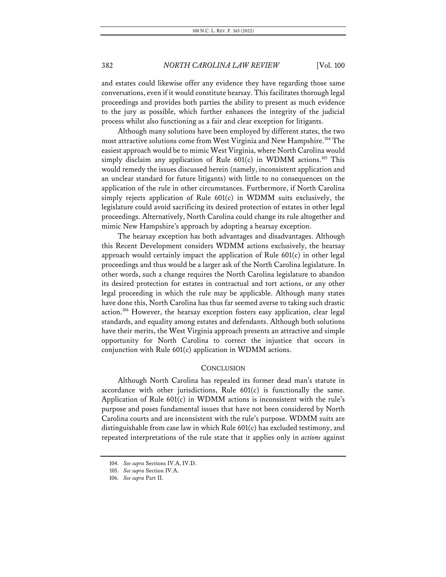and estates could likewise offer any evidence they have regarding those same conversations, even if it would constitute hearsay. This facilitates thorough legal proceedings and provides both parties the ability to present as much evidence to the jury as possible, which further enhances the integrity of the judicial process whilst also functioning as a fair and clear exception for litigants.

Although many solutions have been employed by different states, the two most attractive solutions come from West Virginia and New Hampshire.<sup>104</sup> The easiest approach would be to mimic West Virginia, where North Carolina would simply disclaim any application of Rule  $601(c)$  in WDMM actions.<sup>105</sup> This would remedy the issues discussed herein (namely, inconsistent application and an unclear standard for future litigants) with little to no consequences on the application of the rule in other circumstances. Furthermore, if North Carolina simply rejects application of Rule 601(c) in WDMM suits exclusively, the legislature could avoid sacrificing its desired protection of estates in other legal proceedings. Alternatively, North Carolina could change its rule altogether and mimic New Hampshire's approach by adopting a hearsay exception.

The hearsay exception has both advantages and disadvantages. Although this Recent Development considers WDMM actions exclusively, the hearsay approach would certainly impact the application of Rule 601(c) in other legal proceedings and thus would be a larger ask of the North Carolina legislature. In other words, such a change requires the North Carolina legislature to abandon its desired protection for estates in contractual and tort actions, or any other legal proceeding in which the rule may be applicable. Although many states have done this, North Carolina has thus far seemed averse to taking such drastic action.<sup>106</sup> However, the hearsay exception fosters easy application, clear legal standards, and equality among estates and defendants. Although both solutions have their merits, the West Virginia approach presents an attractive and simple opportunity for North Carolina to correct the injustice that occurs in conjunction with Rule 601(c) application in WDMM actions.

#### **CONCLUSION**

Although North Carolina has repealed its former dead man's statute in accordance with other jurisdictions, Rule 601(c) is functionally the same. Application of Rule 601(c) in WDMM actions is inconsistent with the rule's purpose and poses fundamental issues that have not been considered by North Carolina courts and are inconsistent with the rule's purpose. WDMM suits are distinguishable from case law in which Rule 601(c) has excluded testimony, and repeated interpretations of the rule state that it applies only in *actions* against

<sup>104.</sup> *See supra* Sections IV.A, IV.D.

<sup>105.</sup> *See supra* Section IV.A.

<sup>106.</sup> *See supra* Part II.